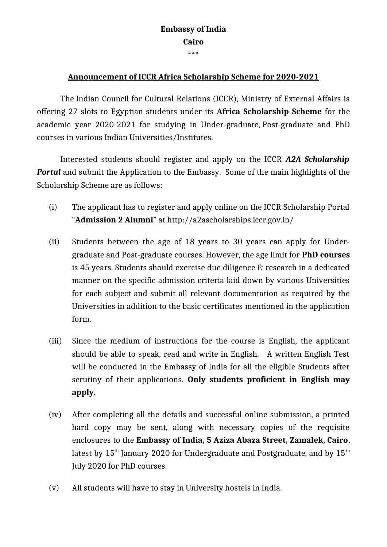## **Embassy of India Cairo \*\*\***

## **Announcement of ICCR Africa Scholarship Scheme for 2020-2021**

The Indian Council for Cultural Relations (ICCR), Ministry of External Affairs is offering 27 slots to Egyptian students under its **Africa Scholarship Scheme** for the academic year 2020-2021 for studying in Under-graduate, Post-graduate and PhD courses in various Indian Universities/Institutes.

Interested students should register and apply on the ICCR *A2A Scholarship Portal* and submit the Application to the Embassy. Some of the main highlights of the Scholarship Scheme are as follows:

- (i) The applicant has to register and apply online on the ICCR Scholarship Portal "**Admission 2 Alumni**" at<http://a2ascholarships.iccr.gov.in/>
- (ii) Students between the age of 18 years to 30 years can apply for Undergraduate and Post-graduate courses. However, the age limit for **PhD courses** is 45 years. Students should exercise due diligence & research in a dedicated manner on the specific admission criteria laid down by various Universities for each subject and submit all relevant documentation as required by the Universities in addition to the basic certificates mentioned in the application form.
- (iii) Since the medium of instructions for the course is English, the applicant should be able to speak, read and write in English. A written English Test will be conducted in the Embassy of India for all the eligible Students after scrutiny of their applications. **Only students proficient in English may apply.**
- (iv) After completing all the details and successful online submission, a printed hard copy may be sent, along with necessary copies of the requisite enclosures to the **Embassy of India, 5 Aziza Abaza Street, Zamalek, Cairo**, latest by  $15<sup>th</sup>$  January 2020 for Undergraduate and Postgraduate, and by  $15<sup>th</sup>$ July 2020 for PhD courses.
- (v) All students will have to stay in University hostels in India.